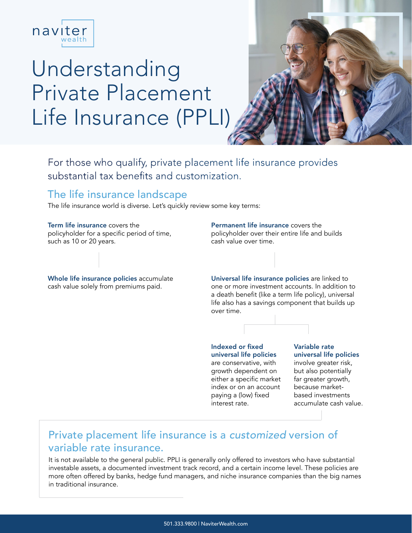

# Understanding Private Placement Life Insurance (PPLI)



For those who qualify, private placement life insurance provides substantial tax benefits and customization.

### The life insurance landscape

The life insurance world is diverse. Let's quickly review some key terms:

Term life insurance covers the policyholder for a specific period of time, such as 10 or 20 years.

Whole life insurance policies accumulate cash value solely from premiums paid.

Permanent life insurance covers the policyholder over their entire life and builds cash value over time.

Universal life insurance policies are linked to one or more investment accounts. In addition to a death benefit (like a term life policy), universal life also has a savings component that builds up over time.

Indexed or fixed universal life policies are conservative, with growth dependent on either a specific market index or on an account paying a (low) fixed interest rate.

Variable rate universal life policies involve greater risk, but also potentially far greater growth, because marketbased investments accumulate cash value.

## Private placement life insurance is a *customized* version of variable rate insurance.

It is not available to the general public. PPLI is generally only offered to investors who have substantial investable assets, a documented investment track record, and a certain income level. These policies are more often offered by banks, hedge fund managers, and niche insurance companies than the big names in traditional insurance.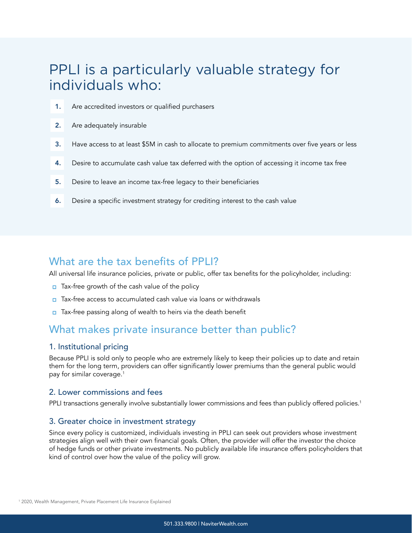## PPLI is a particularly valuable strategy for individuals who:

- 1. Are accredited investors or qualified purchasers
- 2. Are adequately insurable
- 3. Have access to at least \$5M in cash to allocate to premium commitments over five years or less
- 4. Desire to accumulate cash value tax deferred with the option of accessing it income tax free
- 5. Desire to leave an income tax-free legacy to their beneficiaries
- 6. Desire a specific investment strategy for crediting interest to the cash value

#### What are the tax benefits of PPLI?

All universal life insurance policies, private or public, offer tax benefits for the policyholder, including:

- $\Box$  Tax-free growth of the cash value of the policy
- $\Box$  Tax-free access to accumulated cash value via loans or withdrawals
- $\Box$  Tax-free passing along of wealth to heirs via the death benefit

#### What makes private insurance better than public?

#### 1. Institutional pricing

Because PPLI is sold only to people who are extremely likely to keep their policies up to date and retain them for the long term, providers can offer significantly lower premiums than the general public would pay for similar coverage.<sup>1</sup>

#### 2. Lower commissions and fees

PPLI transactions generally involve substantially lower commissions and fees than publicly offered policies.<sup>1</sup>

#### 3. Greater choice in investment strategy

Since every policy is customized, individuals investing in PPLI can seek out providers whose investment strategies align well with their own financial goals. Often, the provider will offer the investor the choice of hedge funds or other private investments. No publicly available life insurance offers policyholders that kind of control over how the value of the policy will grow.